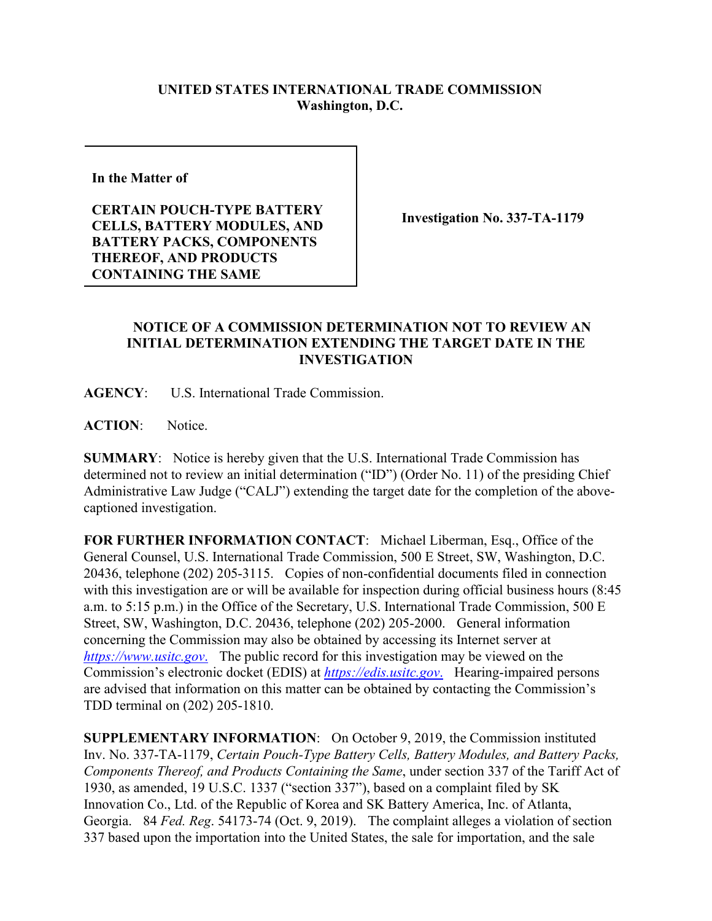## **UNITED STATES INTERNATIONAL TRADE COMMISSION Washington, D.C.**

**In the Matter of** 

**CERTAIN POUCH-TYPE BATTERY CELLS, BATTERY MODULES, AND BATTERY PACKS, COMPONENTS THEREOF, AND PRODUCTS CONTAINING THE SAME**

**Investigation No. 337-TA-1179**

## **NOTICE OF A COMMISSION DETERMINATION NOT TO REVIEW AN INITIAL DETERMINATION EXTENDING THE TARGET DATE IN THE INVESTIGATION**

**AGENCY**: U.S. International Trade Commission.

ACTION: Notice.

**SUMMARY**: Notice is hereby given that the U.S. International Trade Commission has determined not to review an initial determination ("ID") (Order No. 11) of the presiding Chief Administrative Law Judge ("CALJ") extending the target date for the completion of the abovecaptioned investigation.

**FOR FURTHER INFORMATION CONTACT**: Michael Liberman, Esq., Office of the General Counsel, U.S. International Trade Commission, 500 E Street, SW, Washington, D.C. 20436, telephone (202) 205-3115. Copies of non-confidential documents filed in connection with this investigation are or will be available for inspection during official business hours (8:45) a.m. to 5:15 p.m.) in the Office of the Secretary, U.S. International Trade Commission, 500 E Street, SW, Washington, D.C. 20436, telephone (202) 205-2000. General information concerning the Commission may also be obtained by accessing its Internet server at *[https://www.usitc.gov](https://www.usitc.gov./)*. The public record for this investigation may be viewed on the Commission's electronic docket (EDIS) at *[https://edis.usitc.gov](https://edis.usitc.gov./)*. Hearing-impaired persons are advised that information on this matter can be obtained by contacting the Commission's TDD terminal on (202) 205-1810.

**SUPPLEMENTARY INFORMATION**: On October 9, 2019, the Commission instituted Inv. No. 337-TA-1179, *Certain Pouch-Type Battery Cells, Battery Modules, and Battery Packs, Components Thereof, and Products Containing the Same*, under section 337 of the Tariff Act of 1930, as amended, 19 U.S.C. 1337 ("section 337"), based on a complaint filed by SK Innovation Co., Ltd. of the Republic of Korea and SK Battery America, Inc. of Atlanta, Georgia. 84 *Fed. Reg*. 54173-74 (Oct. 9, 2019). The complaint alleges a violation of section 337 based upon the importation into the United States, the sale for importation, and the sale